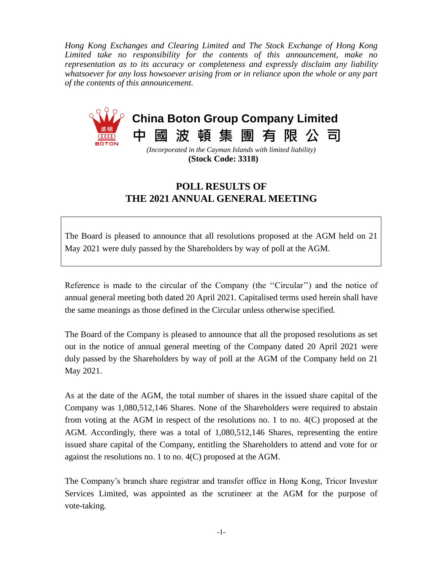*Hong Kong Exchanges and Clearing Limited and The Stock Exchange of Hong Kong Limited take no responsibility for the contents of this announcement, make no representation as to its accuracy or completeness and expressly disclaim any liability whatsoever for any loss howsoever arising from or in reliance upon the whole or any part of the contents of this announcement.*



**(Stock Code: 3318)**

## **POLL RESULTS OF THE 2021 ANNUAL GENERAL MEETING**

The Board is pleased to announce that all resolutions proposed at the AGM held on 21 May 2021 were duly passed by the Shareholders by way of poll at the AGM.

Reference is made to the circular of the Company (the ''Circular'') and the notice of annual general meeting both dated 20 April 2021. Capitalised terms used herein shall have the same meanings as those defined in the Circular unless otherwise specified.

The Board of the Company is pleased to announce that all the proposed resolutions as set out in the notice of annual general meeting of the Company dated 20 April 2021 were duly passed by the Shareholders by way of poll at the AGM of the Company held on 21 May 2021.

As at the date of the AGM, the total number of shares in the issued share capital of the Company was 1,080,512,146 Shares. None of the Shareholders were required to abstain from voting at the AGM in respect of the resolutions no. 1 to no. 4(C) proposed at the AGM. Accordingly, there was a total of 1,080,512,146 Shares, representing the entire issued share capital of the Company, entitling the Shareholders to attend and vote for or against the resolutions no. 1 to no. 4(C) proposed at the AGM.

The Company's branch share registrar and transfer office in Hong Kong, Tricor Investor Services Limited, was appointed as the scrutineer at the AGM for the purpose of vote-taking.